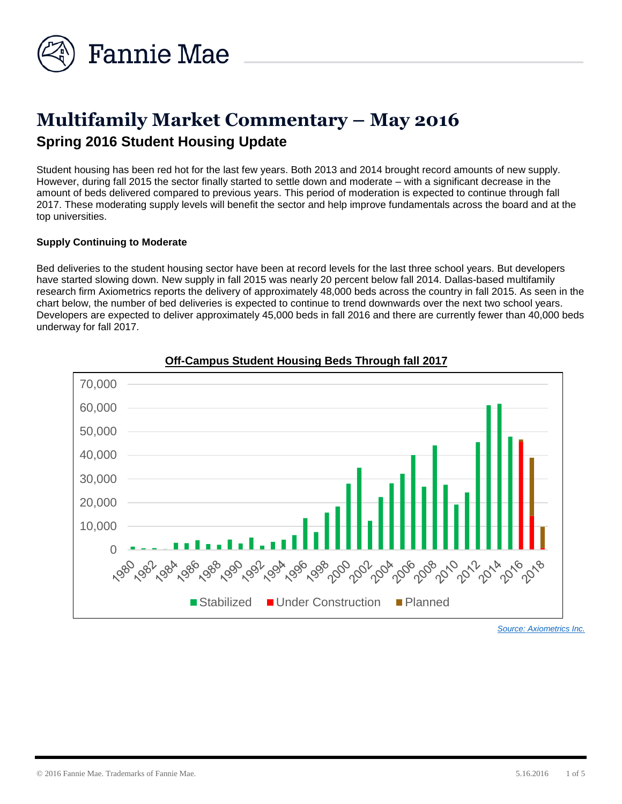

# **Multifamily Market Commentary – May 2016 Spring 2016 Student Housing Update**

Student housing has been red hot for the last few years. Both 2013 and 2014 brought record amounts of new supply. However, during fall 2015 the sector finally started to settle down and moderate – with a significant decrease in the amount of beds delivered compared to previous years. This period of moderation is expected to continue through fall 2017. These moderating supply levels will benefit the sector and help improve fundamentals across the board and at the top universities.

#### **Supply Continuing to Moderate**

Bed deliveries to the student housing sector have been at record levels for the last three school years. But developers have started slowing down. New supply in fall 2015 was nearly 20 percent below fall 2014. Dallas-based multifamily research firm Axiometrics reports the delivery of approximately 48,000 beds across the country in fall 2015. As seen in the chart below, the number of bed deliveries is expected to continue to trend downwards over the next two school years. Developers are expected to deliver approximately 45,000 beds in fall 2016 and there are currently fewer than 40,000 beds underway for fall 2017.



# **Off-Campus Student Housing Beds Through fall 2017**

*[Source: Axiometrics Inc.](http://www.axiometrics.com/)*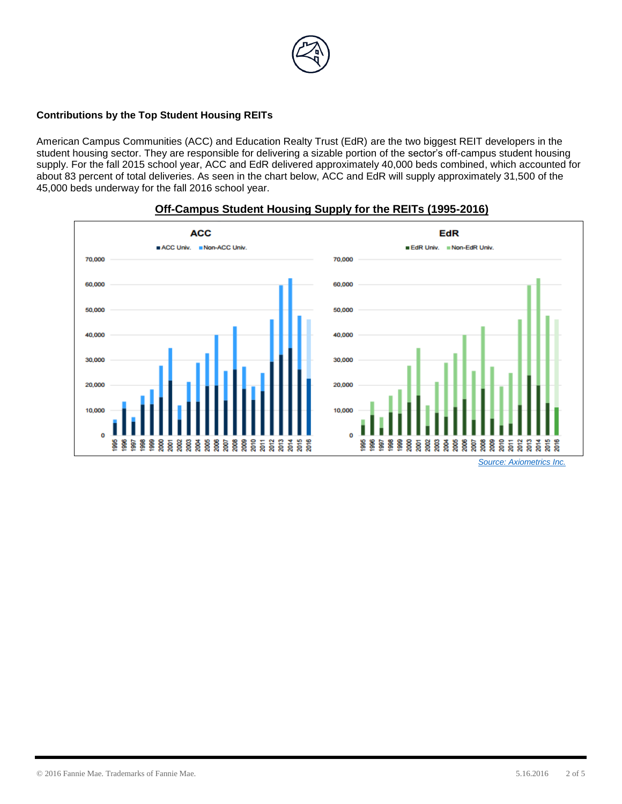

## **Contributions by the Top Student Housing REITs**

American Campus Communities (ACC) and Education Realty Trust (EdR) are the two biggest REIT developers in the student housing sector. They are responsible for delivering a sizable portion of the sector's off-campus student housing supply. For the fall 2015 school year, ACC and EdR delivered approximately 40,000 beds combined, which accounted for about 83 percent of total deliveries. As seen in the chart below, ACC and EdR will supply approximately 31,500 of the 45,000 beds underway for the fall 2016 school year.



#### **Off-Campus Student Housing Supply for the REITs (1995-2016)**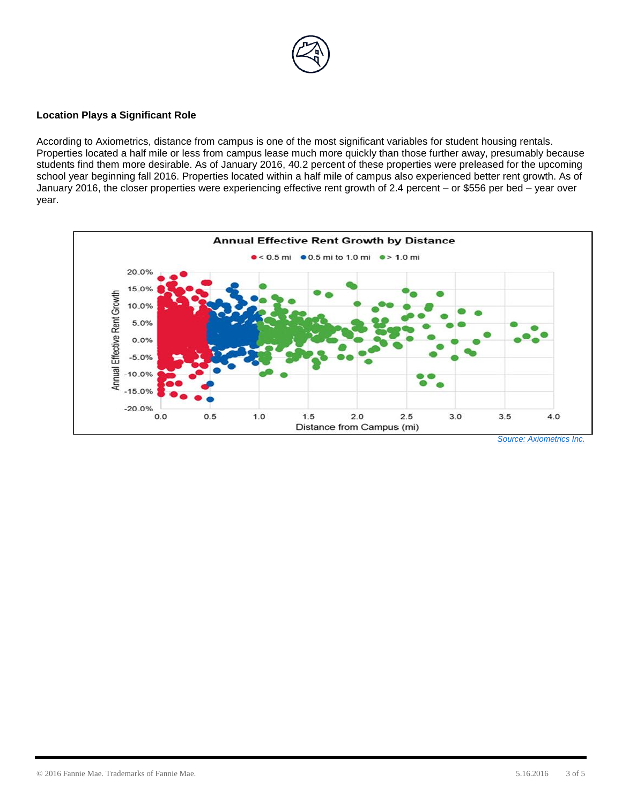

#### **Location Plays a Significant Role**

According to Axiometrics, distance from campus is one of the most significant variables for student housing rentals. Properties located a half mile or less from campus lease much more quickly than those further away, presumably because students find them more desirable. As of January 2016, 40.2 percent of these properties were preleased for the upcoming school year beginning fall 2016. Properties located within a half mile of campus also experienced better rent growth. As of January 2016, the closer properties were experiencing effective rent growth of 2.4 percent – or \$556 per bed – year over year.

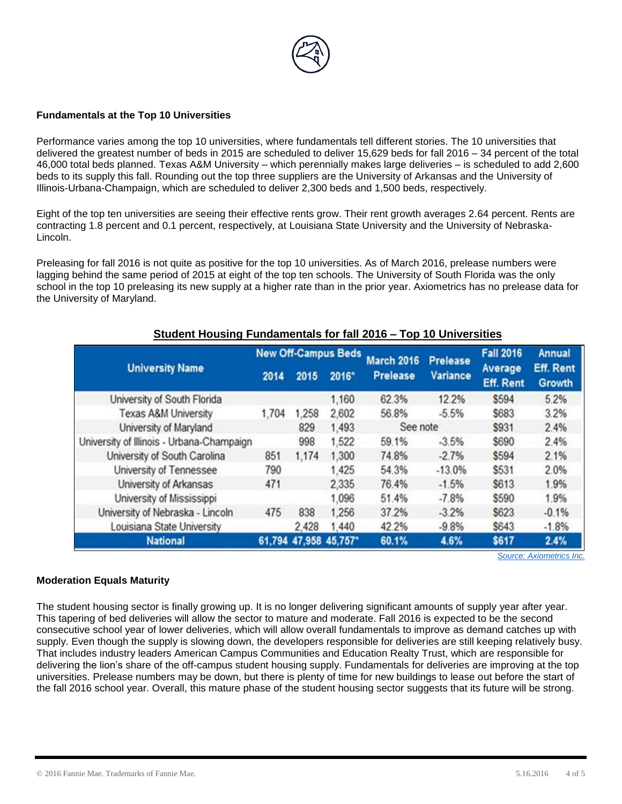

#### **Fundamentals at the Top 10 Universities**

Performance varies among the top 10 universities, where fundamentals tell different stories. The 10 universities that delivered the greatest number of beds in 2015 are scheduled to deliver 15,629 beds for fall 2016 – 34 percent of the total 46,000 total beds planned. Texas A&M University – which perennially makes large deliveries – is scheduled to add 2,600 beds to its supply this fall. Rounding out the top three suppliers are the University of Arkansas and the University of Illinois-Urbana-Champaign, which are scheduled to deliver 2,300 beds and 1,500 beds, respectively.

Eight of the top ten universities are seeing their effective rents grow. Their rent growth averages 2.64 percent. Rents are contracting 1.8 percent and 0.1 percent, respectively, at Louisiana State University and the University of Nebraska-Lincoln.

Preleasing for fall 2016 is not quite as positive for the top 10 universities. As of March 2016, prelease numbers were lagging behind the same period of 2015 at eight of the top ten schools. The University of South Florida was the only school in the top 10 preleasing its new supply at a higher rate than in the prior year. Axiometrics has no prelease data for the University of Maryland.

| <b>University Name</b>                    | <b>New Off-Campus Beds</b> |       |                       | <b>March 2016</b> | <b>Prelease</b> | <b>Fall 2016</b>                   | <b>Annual</b>                     |
|-------------------------------------------|----------------------------|-------|-----------------------|-------------------|-----------------|------------------------------------|-----------------------------------|
|                                           | 2014                       | 2015  | 2016*                 | <b>Prelease</b>   | <b>Variance</b> | <b>Average</b><br><b>Eff. Rent</b> | <b>Eff. Rent</b><br><b>Growth</b> |
| University of South Florida               |                            |       | 1,160                 | 62.3%             | 12.2%           | \$594                              | 5.2%                              |
| <b>Texas A&amp;M University</b>           | 1,704                      | 1,258 | 2,602                 | 56.8%             | $-5.5%$         | \$683                              | 3.2%                              |
| University of Maryland                    |                            | 829   | 1,493                 | See note          |                 | <b>\$931</b>                       | 2.4%                              |
| University of Illinois - Urbana-Champaign |                            | 998   | 1,522                 | 59.1%             | $-3.5%$         | \$690                              | 2.4%                              |
| University of South Carolina              | 851                        | 1,174 | 1,300                 | 74.8%             | $-2.7%$         | \$594                              | 2.1%                              |
| University of Tennessee                   | 790                        |       | 1.425                 | 54.3%             | $-13.0%$        | \$531                              | 2.0%                              |
| University of Arkansas                    | 471                        |       | 2,335                 | 76.4%             | $-1.5%$         | \$613                              | 1.9%                              |
| University of Mississippi                 |                            |       | 1,096                 | 51.4%             | $-7.8%$         | \$590                              | 1.9%                              |
| University of Nebraska - Lincoln          | 475                        | 838   | 1.256                 | 37.2%             | $-3.2%$         | <b>\$623</b>                       | $-0.1%$                           |
| Louisiana State University                |                            | 2,428 | 1,440                 | 42.2%             | $-9.8%$         | <b>\$643</b>                       | $-1.8%$                           |
| <b>National</b>                           |                            |       | 61,794 47,958 45,757* | 60.1%             | 4.6%            | \$617                              | 2.4%                              |

# **Student Housing Fundamentals for fall 2016 – Top 10 Universities**

*[Source: Axiometrics Inc.](http://www.axiometrics.com/)*

# **Moderation Equals Maturity**

The student housing sector is finally growing up. It is no longer delivering significant amounts of supply year after year. This tapering of bed deliveries will allow the sector to mature and moderate. Fall 2016 is expected to be the second consecutive school year of lower deliveries, which will allow overall fundamentals to improve as demand catches up with supply. Even though the supply is slowing down, the developers responsible for deliveries are still keeping relatively busy. That includes industry leaders American Campus Communities and Education Realty Trust, which are responsible for delivering the lion's share of the off-campus student housing supply. Fundamentals for deliveries are improving at the top universities. Prelease numbers may be down, but there is plenty of time for new buildings to lease out before the start of the fall 2016 school year. Overall, this mature phase of the student housing sector suggests that its future will be strong.